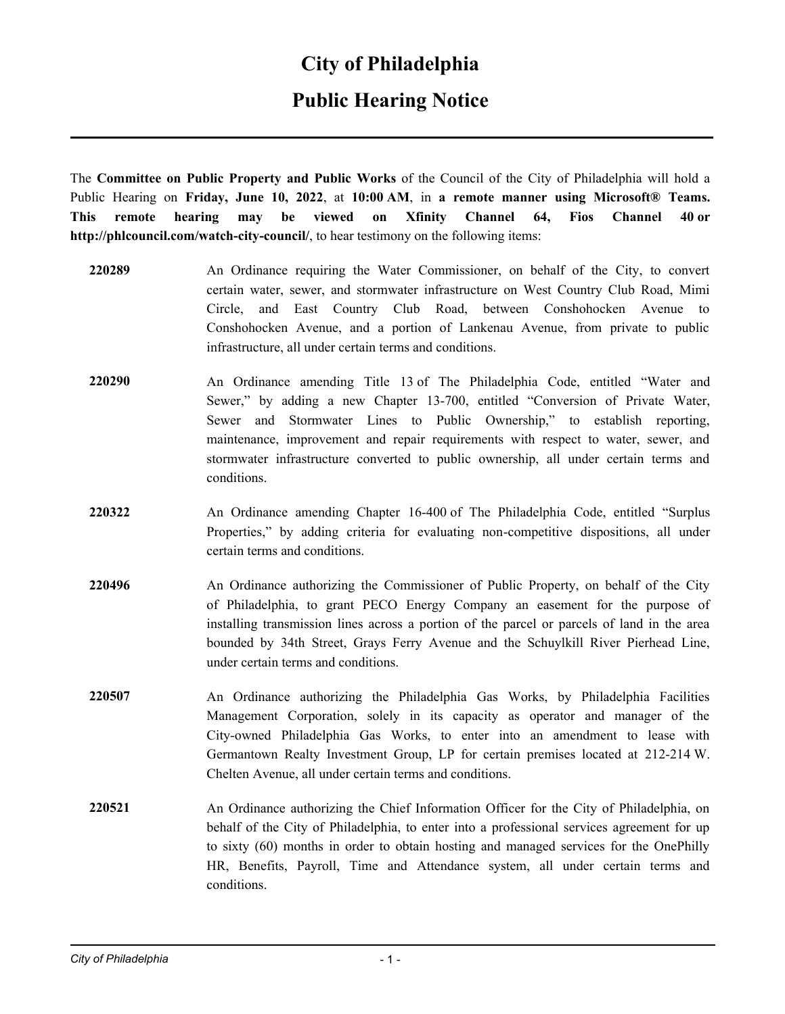### **City of Philadelphia**

## **Public Hearing Notice**

The **Committee on Public Property and Public Works** of the Council of the City of Philadelphia will hold a Public Hearing on **Friday, June 10, 2022**, at **10:00 AM**, in **a remote manner using Microsoft® Teams. This remote hearing may be viewed on Xfinity Channel 64, Fios Channel 40 or http://phlcouncil.com/watch-city-council/**, to hear testimony on the following items:

- **220289** An Ordinance requiring the Water Commissioner, on behalf of the City, to convert certain water, sewer, and stormwater infrastructure on West Country Club Road, Mimi Circle, and East Country Club Road, between Conshohocken Avenue to Conshohocken Avenue, and a portion of Lankenau Avenue, from private to public infrastructure, all under certain terms and conditions.
- **220290** An Ordinance amending Title 13 of The Philadelphia Code, entitled "Water and Sewer," by adding a new Chapter 13-700, entitled "Conversion of Private Water, Sewer and Stormwater Lines to Public Ownership," to establish reporting, maintenance, improvement and repair requirements with respect to water, sewer, and stormwater infrastructure converted to public ownership, all under certain terms and conditions.
- **220322** An Ordinance amending Chapter 16-400 of The Philadelphia Code, entitled "Surplus Properties," by adding criteria for evaluating non-competitive dispositions, all under certain terms and conditions.
- **220496** An Ordinance authorizing the Commissioner of Public Property, on behalf of the City of Philadelphia, to grant PECO Energy Company an easement for the purpose of installing transmission lines across a portion of the parcel or parcels of land in the area bounded by 34th Street, Grays Ferry Avenue and the Schuylkill River Pierhead Line, under certain terms and conditions.
- **220507** An Ordinance authorizing the Philadelphia Gas Works, by Philadelphia Facilities Management Corporation, solely in its capacity as operator and manager of the City-owned Philadelphia Gas Works, to enter into an amendment to lease with Germantown Realty Investment Group, LP for certain premises located at 212-214 W. Chelten Avenue, all under certain terms and conditions.
- **220521** An Ordinance authorizing the Chief Information Officer for the City of Philadelphia, on behalf of the City of Philadelphia, to enter into a professional services agreement for up to sixty (60) months in order to obtain hosting and managed services for the OnePhilly HR, Benefits, Payroll, Time and Attendance system, all under certain terms and conditions.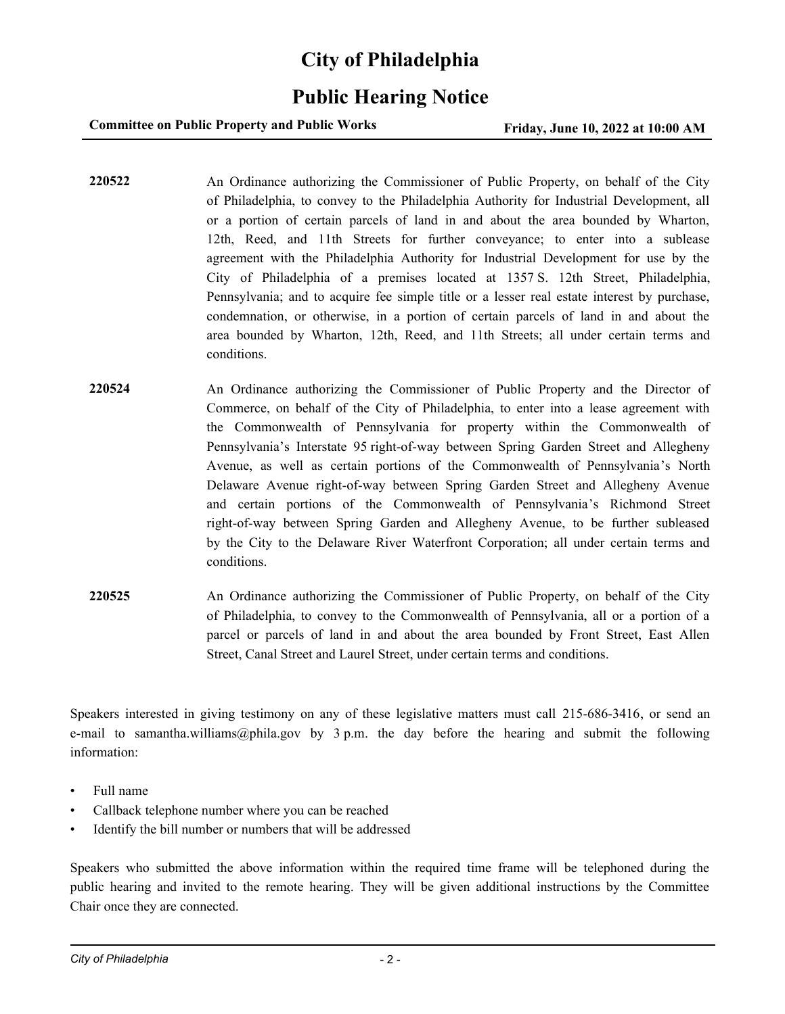## **City of Philadelphia**

## **Public Hearing Notice**

**Committee on Public Property and Public Works Friday, June 10, 2022 at 10:00 AM** 

**220522** An Ordinance authorizing the Commissioner of Public Property, on behalf of the City of Philadelphia, to convey to the Philadelphia Authority for Industrial Development, all or a portion of certain parcels of land in and about the area bounded by Wharton, 12th, Reed, and 11th Streets for further conveyance; to enter into a sublease agreement with the Philadelphia Authority for Industrial Development for use by the City of Philadelphia of a premises located at 1357 S. 12th Street, Philadelphia, Pennsylvania; and to acquire fee simple title or a lesser real estate interest by purchase, condemnation, or otherwise, in a portion of certain parcels of land in and about the area bounded by Wharton, 12th, Reed, and 11th Streets; all under certain terms and conditions.

- **220524** An Ordinance authorizing the Commissioner of Public Property and the Director of Commerce, on behalf of the City of Philadelphia, to enter into a lease agreement with the Commonwealth of Pennsylvania for property within the Commonwealth of Pennsylvania's Interstate 95 right-of-way between Spring Garden Street and Allegheny Avenue, as well as certain portions of the Commonwealth of Pennsylvania's North Delaware Avenue right-of-way between Spring Garden Street and Allegheny Avenue and certain portions of the Commonwealth of Pennsylvania's Richmond Street right-of-way between Spring Garden and Allegheny Avenue, to be further subleased by the City to the Delaware River Waterfront Corporation; all under certain terms and conditions.
- **220525** An Ordinance authorizing the Commissioner of Public Property, on behalf of the City of Philadelphia, to convey to the Commonwealth of Pennsylvania, all or a portion of a parcel or parcels of land in and about the area bounded by Front Street, East Allen Street, Canal Street and Laurel Street, under certain terms and conditions.

Speakers interested in giving testimony on any of these legislative matters must call 215-686-3416, or send an e-mail to samantha.williams@phila.gov by 3 p.m. the day before the hearing and submit the following information:

- Full name
- Callback telephone number where you can be reached
- Identify the bill number or numbers that will be addressed

Speakers who submitted the above information within the required time frame will be telephoned during the public hearing and invited to the remote hearing. They will be given additional instructions by the Committee Chair once they are connected.